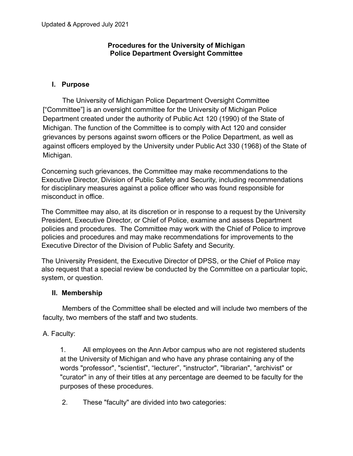### **Procedures for the University of Michigan Police Department Oversight Committee**

### **I. Purpose**

The University of Michigan Police Department Oversight Committee ["Committee"] is an oversight committee for the University of Michigan Police Department created under the authority of Public Act 120 (1990) of the State of Michigan. The function of the Committee is to comply with Act 120 and consider grievances by persons against sworn officers or the Police Department, as well as against officers employed by the University under Public Act 330 (1968) of the State of Michigan.

Concerning such grievances, the Committee may make recommendations to the Executive Director, Division of Public Safety and Security, including recommendations for disciplinary measures against a police officer who was found responsible for misconduct in office.

The Committee may also, at its discretion or in response to a request by the University President, Executive Director, or Chief of Police, examine and assess Department policies and procedures. The Committee may work with the Chief of Police to improve policies and procedures and may make recommendations for improvements to the Executive Director of the Division of Public Safety and Security.

The University President, the Executive Director of DPSS, or the Chief of Police may also request that a special review be conducted by the Committee on a particular topic, system, or question.

### **II. Membership**

Members of the Committee shall be elected and will include two members of the faculty, two members of the staff and two students.

## A. Faculty:

1. All employees on the Ann Arbor campus who are not registered students at the University of Michigan and who have any phrase containing any of the words "professor", "scientist", "lecturer", "instructor", "librarian", "archivist" or "curator" in any of their titles at any percentage are deemed to be faculty for the purposes of these procedures.

2. These "faculty" are divided into two categories: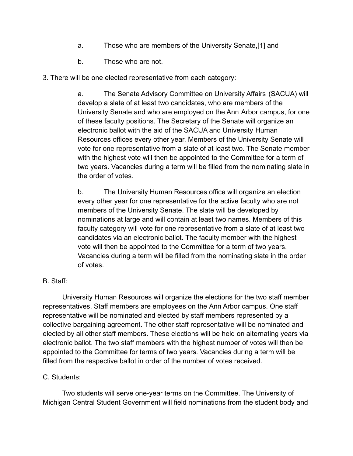- a. Those who are members of the University Senate,[1] and
- b. Those who are not.
- 3. There will be one elected representative from each category:

a. The Senate Advisory Committee on University Affairs (SACUA) will develop a slate of at least two candidates, who are members of the University Senate and who are employed on the Ann Arbor campus, for one of these faculty positions. The Secretary of the Senate will organize an electronic ballot with the aid of the SACUA and University Human Resources offices every other year. Members of the University Senate will vote for one representative from a slate of at least two. The Senate member with the highest vote will then be appointed to the Committee for a term of two years. Vacancies during a term will be filled from the nominating slate in the order of votes.

b. The University Human Resources office will organize an election every other year for one representative for the active faculty who are not members of the University Senate. The slate will be developed by nominations at large and will contain at least two names. Members of this faculty category will vote for one representative from a slate of at least two candidates via an electronic ballot. The faculty member with the highest vote will then be appointed to the Committee for a term of two years. Vacancies during a term will be filled from the nominating slate in the order of votes.

## B. Staff:

University Human Resources will organize the elections for the two staff member representatives. Staff members are employees on the Ann Arbor campus. One staff representative will be nominated and elected by staff members represented by a collective bargaining agreement. The other staff representative will be nominated and elected by all other staff members. These elections will be held on alternating years via electronic ballot. The two staff members with the highest number of votes will then be appointed to the Committee for terms of two years. Vacancies during a term will be filled from the respective ballot in order of the number of votes received.

# C. Students:

Two students will serve one-year terms on the Committee. The University of Michigan Central Student Government will field nominations from the student body and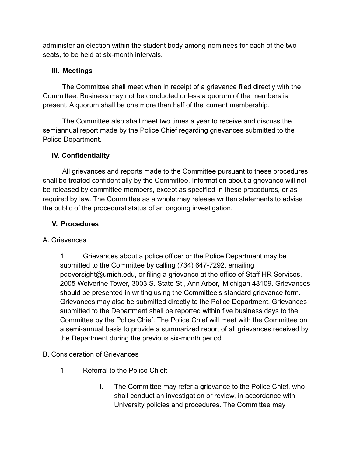administer an election within the student body among nominees for each of the two seats, to be held at six-month intervals.

# **III. Meetings**

The Committee shall meet when in receipt of a grievance filed directly with the Committee. Business may not be conducted unless a quorum of the members is present. A quorum shall be one more than half of the current membership.

The Committee also shall meet two times a year to receive and discuss the semiannual report made by the Police Chief regarding grievances submitted to the Police Department.

# **IV. Confidentiality**

All grievances and reports made to the Committee pursuant to these procedures shall be treated confidentially by the Committee. Information about a grievance will not be released by committee members, except as specified in these procedures, or as required by law. The Committee as a whole may release written statements to advise the public of the procedural status of an ongoing investigation.

## **V. Procedures**

## A. Grievances

1. Grievances about a police officer or the Police Department may be submitted to the Committee by calling (734) 647-7292, emailing pdoversight@umich.edu, or filing a grievance at the office of Staff HR Services, 2005 Wolverine Tower, 3003 S. State St., Ann Arbor, Michigan 48109. Grievances should be presented in writing using the Committee's standard grievance form. Grievances may also be submitted directly to the Police Department. Grievances submitted to the Department shall be reported within five business days to the Committee by the Police Chief. The Police Chief will meet with the Committee on a semi-annual basis to provide a summarized report of all grievances received by the Department during the previous six-month period.

# B. Consideration of Grievances

- 1. Referral to the Police Chief:
	- i. The Committee may refer a grievance to the Police Chief, who shall conduct an investigation or review, in accordance with University policies and procedures. The Committee may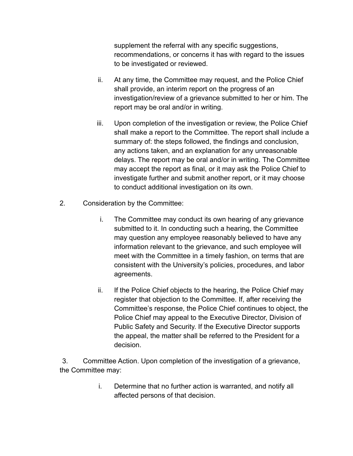supplement the referral with any specific suggestions, recommendations, or concerns it has with regard to the issues to be investigated or reviewed.

- ii. At any time, the Committee may request, and the Police Chief shall provide, an interim report on the progress of an investigation/review of a grievance submitted to her or him. The report may be oral and/or in writing.
- iii. Upon completion of the investigation or review, the Police Chief shall make a report to the Committee. The report shall include a summary of: the steps followed, the findings and conclusion, any actions taken, and an explanation for any unreasonable delays. The report may be oral and/or in writing. The Committee may accept the report as final, or it may ask the Police Chief to investigate further and submit another report, or it may choose to conduct additional investigation on its own.
- 2. Consideration by the Committee:
	- i. The Committee may conduct its own hearing of any grievance submitted to it. In conducting such a hearing, the Committee may question any employee reasonably believed to have any information relevant to the grievance, and such employee will meet with the Committee in a timely fashion, on terms that are consistent with the University's policies, procedures, and labor agreements.
	- ii. If the Police Chief objects to the hearing, the Police Chief may register that objection to the Committee. If, after receiving the Committee's response, the Police Chief continues to object, the Police Chief may appeal to the Executive Director, Division of Public Safety and Security. If the Executive Director supports the appeal, the matter shall be referred to the President for a decision.

3. Committee Action. Upon completion of the investigation of a grievance, the Committee may:

> i. Determine that no further action is warranted, and notify all affected persons of that decision.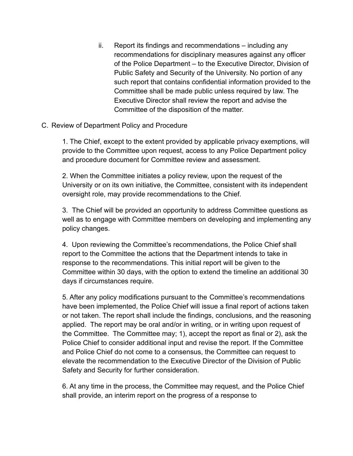ii. Report its findings and recommendations – including any recommendations for disciplinary measures against any officer of the Police Department – to the Executive Director, Division of Public Safety and Security of the University. No portion of any such report that contains confidential information provided to the Committee shall be made public unless required by law. The Executive Director shall review the report and advise the Committee of the disposition of the matter.

## C. Review of Department Policy and Procedure

1. The Chief, except to the extent provided by applicable privacy exemptions, will provide to the Committee upon request, access to any Police Department policy and procedure document for Committee review and assessment.

2. When the Committee initiates a policy review, upon the request of the University or on its own initiative, the Committee, consistent with its independent oversight role, may provide recommendations to the Chief.

3. The Chief will be provided an opportunity to address Committee questions as well as to engage with Committee members on developing and implementing any policy changes.

4. Upon reviewing the Committee's recommendations, the Police Chief shall report to the Committee the actions that the Department intends to take in response to the recommendations. This initial report will be given to the Committee within 30 days, with the option to extend the timeline an additional 30 days if circumstances require.

5. After any policy modifications pursuant to the Committee's recommendations have been implemented, the Police Chief will issue a final report of actions taken or not taken. The report shall include the findings, conclusions, and the reasoning applied. The report may be oral and/or in writing, or in writing upon request of the Committee. The Committee may; 1), accept the report as final or 2), ask the Police Chief to consider additional input and revise the report. If the Committee and Police Chief do not come to a consensus, the Committee can request to elevate the recommendation to the Executive Director of the Division of Public Safety and Security for further consideration.

6. At any time in the process, the Committee may request, and the Police Chief shall provide, an interim report on the progress of a response to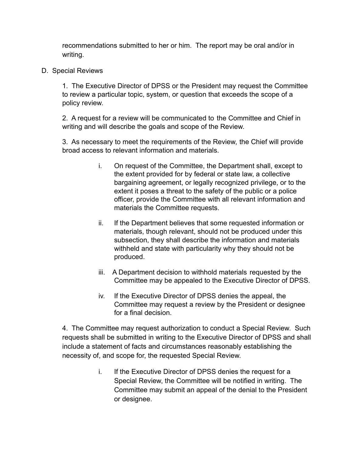recommendations submitted to her or him. The report may be oral and/or in writing.

D. Special Reviews

1. The Executive Director of DPSS or the President may request the Committee to review a particular topic, system, or question that exceeds the scope of a policy review.

2. A request for a review will be communicated to the Committee and Chief in writing and will describe the goals and scope of the Review.

3. As necessary to meet the requirements of the Review, the Chief will provide broad access to relevant information and materials.

- i. On request of the Committee, the Department shall, except to the extent provided for by federal or state law, a collective bargaining agreement, or legally recognized privilege, or to the extent it poses a threat to the safety of the public or a police officer, provide the Committee with all relevant information and materials the Committee requests.
- ii. If the Department believes that some requested information or materials, though relevant, should not be produced under this subsection, they shall describe the information and materials withheld and state with particularity why they should not be produced.
- iii. A Department decision to withhold materials requested by the Committee may be appealed to the Executive Director of DPSS.
- iv. If the Executive Director of DPSS denies the appeal, the Committee may request a review by the President or designee for a final decision.

4. The Committee may request authorization to conduct a Special Review. Such requests shall be submitted in writing to the Executive Director of DPSS and shall include a statement of facts and circumstances reasonably establishing the necessity of, and scope for, the requested Special Review.

> i. If the Executive Director of DPSS denies the request for a Special Review, the Committee will be notified in writing. The Committee may submit an appeal of the denial to the President or designee.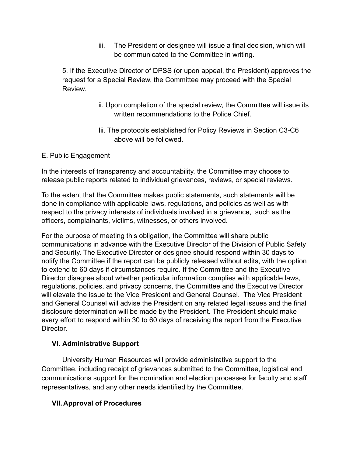iii. The President or designee will issue a final decision, which will be communicated to the Committee in writing.

5. If the Executive Director of DPSS (or upon appeal, the President) approves the request for a Special Review, the Committee may proceed with the Special Review.

- ii. Upon completion of the special review, the Committee will issue its written recommendations to the Police Chief.
- Iii. The protocols established for Policy Reviews in Section C3-C6 above will be followed.
- E. Public Engagement

In the interests of transparency and accountability, the Committee may choose to release public reports related to individual grievances, reviews, or special reviews.

To the extent that the Committee makes public statements, such statements will be done in compliance with applicable laws, regulations, and policies as well as with respect to the privacy interests of individuals involved in a grievance, such as the officers, complainants, victims, witnesses, or others involved.

For the purpose of meeting this obligation, the Committee will share public communications in advance with the Executive Director of the Division of Public Safety and Security. The Executive Director or designee should respond within 30 days to notify the Committee if the report can be publicly released without edits, with the option to extend to 60 days if circumstances require. If the Committee and the Executive Director disagree about whether particular information complies with applicable laws, regulations, policies, and privacy concerns, the Committee and the Executive Director will elevate the issue to the Vice President and General Counsel. The Vice President and General Counsel will advise the President on any related legal issues and the final disclosure determination will be made by the President. The President should make every effort to respond within 30 to 60 days of receiving the report from the Executive Director.

## **VI. Administrative Support**

University Human Resources will provide administrative support to the Committee, including receipt of grievances submitted to the Committee, logistical and communications support for the nomination and election processes for faculty and staff representatives, and any other needs identified by the Committee.

## **VII. Approval of Procedures**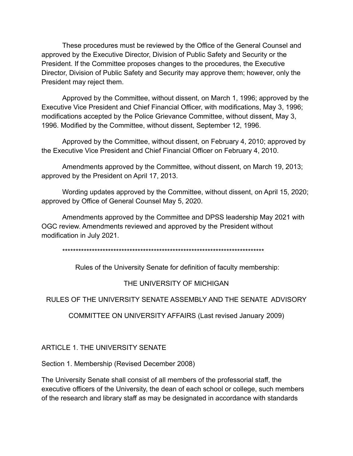These procedures must be reviewed by the Office of the General Counsel and approved by the Executive Director, Division of Public Safety and Security or the President. If the Committee proposes changes to the procedures, the Executive Director, Division of Public Safety and Security may approve them; however, only the President may reject them.

Approved by the Committee, without dissent, on March 1, 1996; approved by the Executive Vice President and Chief Financial Officer, with modifications, May 3, 1996; modifications accepted by the Police Grievance Committee, without dissent, May 3, 1996. Modified by the Committee, without dissent, September 12, 1996.

Approved by the Committee, without dissent, on February 4, 2010; approved by the Executive Vice President and Chief Financial Officer on February 4, 2010.

Amendments approved by the Committee, without dissent, on March 19, 2013; approved by the President on April 17, 2013.

Wording updates approved by the Committee, without dissent, on April 15, 2020; approved by Office of General Counsel May 5, 2020.

Amendments approved by the Committee and DPSS leadership May 2021 with OGC review. Amendments reviewed and approved by the President without modification in July 2021.

\*\*\*\*\*\*\*\*\*\*\*\*\*\*\*\*\*\*\*\*\*\*\*\*\*\*\*\*\*\*\*\*\*\*\*\*\*\*\*\*\*\*\*\*\*\*\*\*\*\*\*\*\*\*\*\*\*\*\*\*\*\*\*\*\*\*\*\*\*\*\*\*\*\*\*

Rules of the University Senate for definition of faculty membership:

### THE UNIVERSITY OF MICHIGAN

RULES OF THE UNIVERSITY SENATE ASSEMBLY AND THE SENATE ADVISORY

COMMITTEE ON UNIVERSITY AFFAIRS (Last revised January 2009)

ARTICLE 1. THE UNIVERSITY SENATE

Section 1. Membership (Revised December 2008)

The University Senate shall consist of all members of the professorial staff, the executive officers of the University, the dean of each school or college, such members of the research and library staff as may be designated in accordance with standards